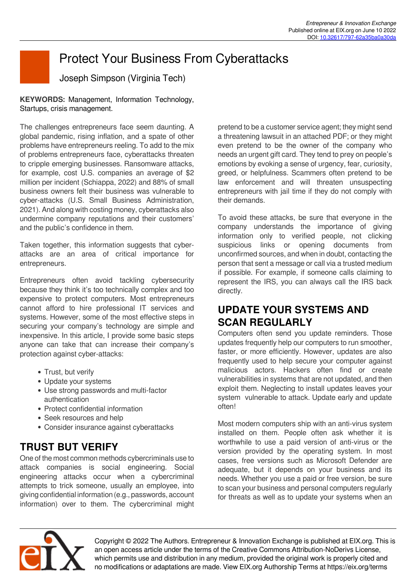# Protect Your Business From Cyberattacks

Joseph Simpson (Virginia Tech)

**KEYWORDS:** Management, Information Technology, Startups, crisis management.

The challenges entrepreneurs face seem daunting. A global pandemic, rising inflation, and a spate of other problems have entrepreneurs reeling. To add to the mix of problems entrepreneurs face, cyberattacks threaten to cripple emerging businesses. Ransomware attacks, for example, cost U.S. companies an average of \$2 million per incident (Schiappa, 2022) and 88% of small business owners felt their business was vulnerable to cyber-attacks (U.S. Small Business Administration, 2021). And along with costing money, cyberattacks also undermine company reputations and their customers' and the public's confidence in them.

Taken together, this information suggests that cyberattacks are an area of critical importance for entrepreneurs.

Entrepreneurs often avoid tackling cybersecurity because they think it's too technically complex and too expensive to protect computers. Most entrepreneurs cannot afford to hire professional IT services and systems. However, some of the most effective steps in securing your company's technology are simple and inexpensive. In this article, I provide some basic steps anyone can take that can increase their company's protection against cyber-attacks:

- Trust, but verify
- Update your systems
- Use strong passwords and multi-factor authentication
- Protect confidential information
- Seek resources and help
- Consider insurance against cyberattacks

# **TRUST BUT VERIFY**

One of the most common methods cybercriminals use to attack companies is social engineering. Social engineering attacks occur when a cybercriminal attempts to trick someone, usually an employee, into giving confidential information (e.g., passwords, account information) over to them. The cybercriminal might pretend to be a customer service agent; they might send a threatening lawsuit in an attached PDF; or they might even pretend to be the owner of the company who needs an urgent gift card. They tend to prey on people's emotions by evoking a sense of urgency, fear, curiosity, greed, or helpfulness. Scammers often pretend to be law enforcement and will threaten unsuspecting entrepreneurs with jail time if they do not comply with their demands.

To avoid these attacks, be sure that everyone in the company understands the importance of giving information only to verified people, not clicking suspicious links or opening documents from unconfirmed sources, and when in doubt, contacting the person that sent a message or call via a trusted medium if possible. For example, if someone calls claiming to represent the IRS, you can always call the IRS back directly.

## **UPDATE YOUR SYSTEMS AND SCAN REGULARLY**

Computers often send you update reminders. Those updates frequently help our computers to run smoother, faster, or more efficiently. However, updates are also frequently used to help secure your computer against malicious actors. Hackers often find or create vulnerabilities in systems that are not updated, and then exploit them. Neglecting to install updates leaves your system vulnerable to attack. Update early and update often!

Most modern computers ship with an anti-virus system installed on them. People often ask whether it is worthwhile to use a paid version of anti-virus or the version provided by the operating system. In most cases, free versions such as Microsoft Defender are adequate, but it depends on your business and its needs. Whether you use a paid or free version, be sure to scan your business and personal computers regularly for threats as well as to update your systems when an



Copyright © 2022 The Authors. Entrepreneur & Innovation Exchange is published at EIX.org. This is an open access article under the terms of the Creative Commons Attribution-NoDerivs License, which permits use and distribution in any medium, provided the original work is properly cited and no modifications or adaptations are made. View EIX.org Authorship Terms at https://eix.org/terms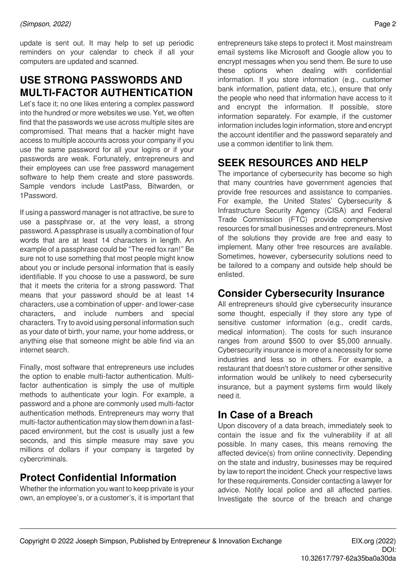update is sent out. It may help to set up periodic reminders on your calendar to check if all your computers are updated and scanned.

# **USE STRONG PASSWORDS AND MULTI-FACTOR AUTHENTICATION**

Let's face it; no one likes entering a complex password into the hundred or more websites we use. Yet, we often find that the passwords we use across multiple sites are compromised. That means that a hacker might have access to multiple accounts across your company if you use the same password for all your logins or if your passwords are weak. Fortunately, entrepreneurs and their employees can use free password management software to help them create and store passwords. Sample vendors include LastPass, Bitwarden, or 1Password.

If using a password manager is not attractive, be sure to use a passphrase or, at the very least, a strong password. A passphrase is usually a combination of four words that are at least 14 characters in length. An example of a passphrase could be "The red fox ran!" Be sure not to use something that most people might know about you or include personal information that is easily identifiable. If you choose to use a password, be sure that it meets the criteria for a strong password. That means that your password should be at least 14 characters, use a combination of upper- and lower-case characters, and include numbers and special characters. Try to avoid using personal information such as your date of birth, your name, your home address, or anything else that someone might be able find via an internet search.

Finally, most software that entrepreneurs use includes the option to enable multi-factor authentication. Multifactor authentication is simply the use of multiple methods to authenticate your login. For example, a password and a phone are commonly used multi-factor authentication methods. Entrepreneurs may worry that multi-factor authentication may slow them down in a fastpaced environment, but the cost is usually just a few seconds, and this simple measure may save you millions of dollars if your company is targeted by cybercriminals.

### **Protect Confidential Information**

Whether the information you want to keep private is your own, an employee's, or a customer's, it is important that entrepreneurs take steps to protect it. Most mainstream email systems like Microsoft and Google allow you to encrypt messages when you send them. Be sure to use these options when dealing with confidential information. If you store information (e.g., customer bank information, patient data, etc.), ensure that only the people who need that information have access to it and encrypt the information. If possible, store information separately. For example, if the customer information includes login information, store and encrypt the account identifier and the password separately and use a common identifier to link them.

# **SEEK RESOURCES AND HELP**

The importance of cybersecurity has become so high that many countries have government agencies that provide free resources and assistance to companies. For example, the United States' Cybersecurity & Infrastructure Security Agency (CISA) and Federal Trade Commission (FTC) provide comprehensive resources for small businesses and entrepreneurs. Most of the solutions they provide are free and easy to implement. Many other free resources are available. Sometimes, however, cybersecurity solutions need to be tailored to a company and outside help should be enlisted.

#### **Consider Cybersecurity Insurance**

All entrepreneurs should give cybersecurity insurance some thought, especially if they store any type of sensitive customer information (e.g., credit cards, medical information). The costs for such insurance ranges from around \$500 to over \$5,000 annually. Cybersecurity insurance is more of a necessity for some industries and less so in others. For example, a restaurant that doesn't store customer or other sensitive information would be unlikely to need cybersecurity insurance, but a payment systems firm would likely need it.

#### **In Case of a Breach**

Upon discovery of a data breach, immediately seek to contain the issue and fix the vulnerability if at all possible. In many cases, this means removing the affected device(s) from online connectivity. Depending on the state and industry, businesses may be required by law to report the incident. Check your respective laws for these requirements. Consider contacting a lawyer for advice. Notify local police and all affected parties. Investigate the source of the breach and change